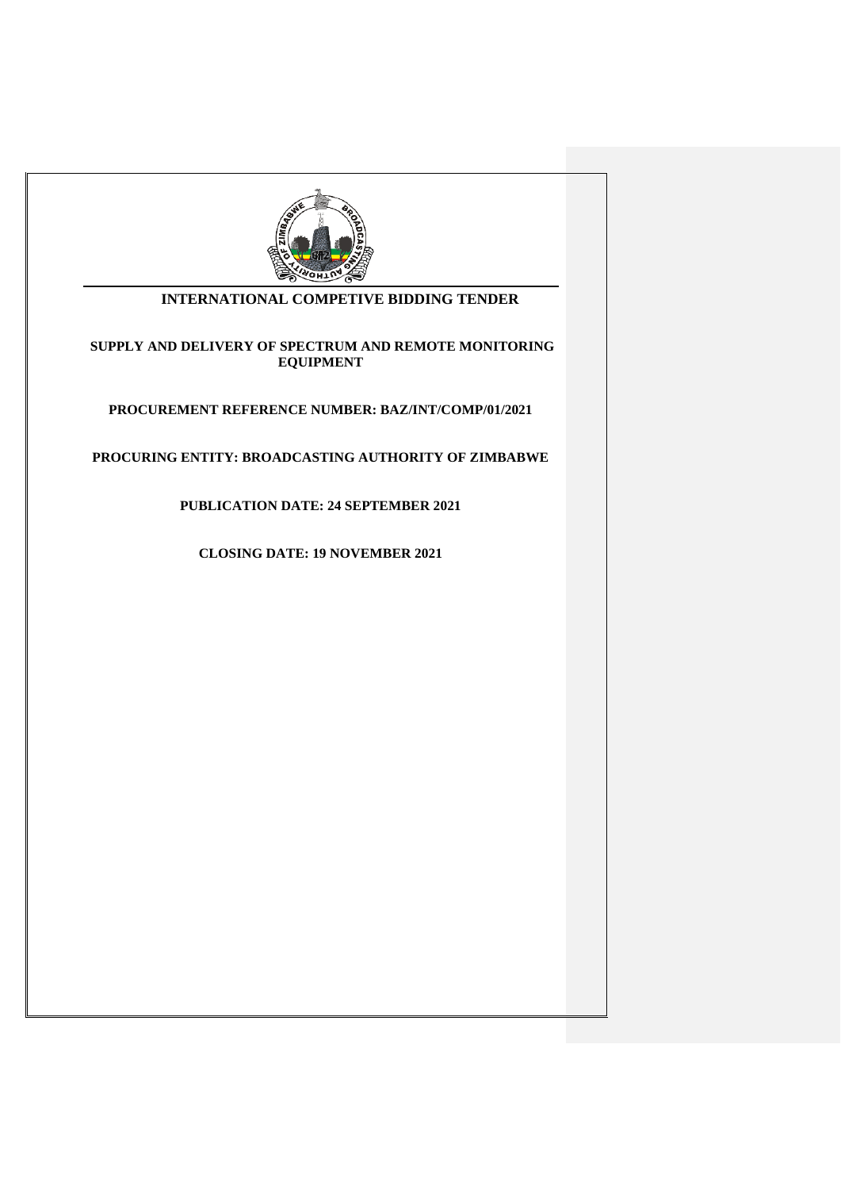

## **INTERNATIONAL COMPETIVE BIDDING TENDER**

## **SUPPLY AND DELIVERY OF SPECTRUM AND REMOTE MONITORING EQUIPMENT**

**PROCUREMENT REFERENCE NUMBER: BAZ/INT/COMP/01/2021**

**PROCURING ENTITY: BROADCASTING AUTHORITY OF ZIMBABWE**

**PUBLICATION DATE: 24 SEPTEMBER 2021**

**CLOSING DATE: 19 NOVEMBER 2021**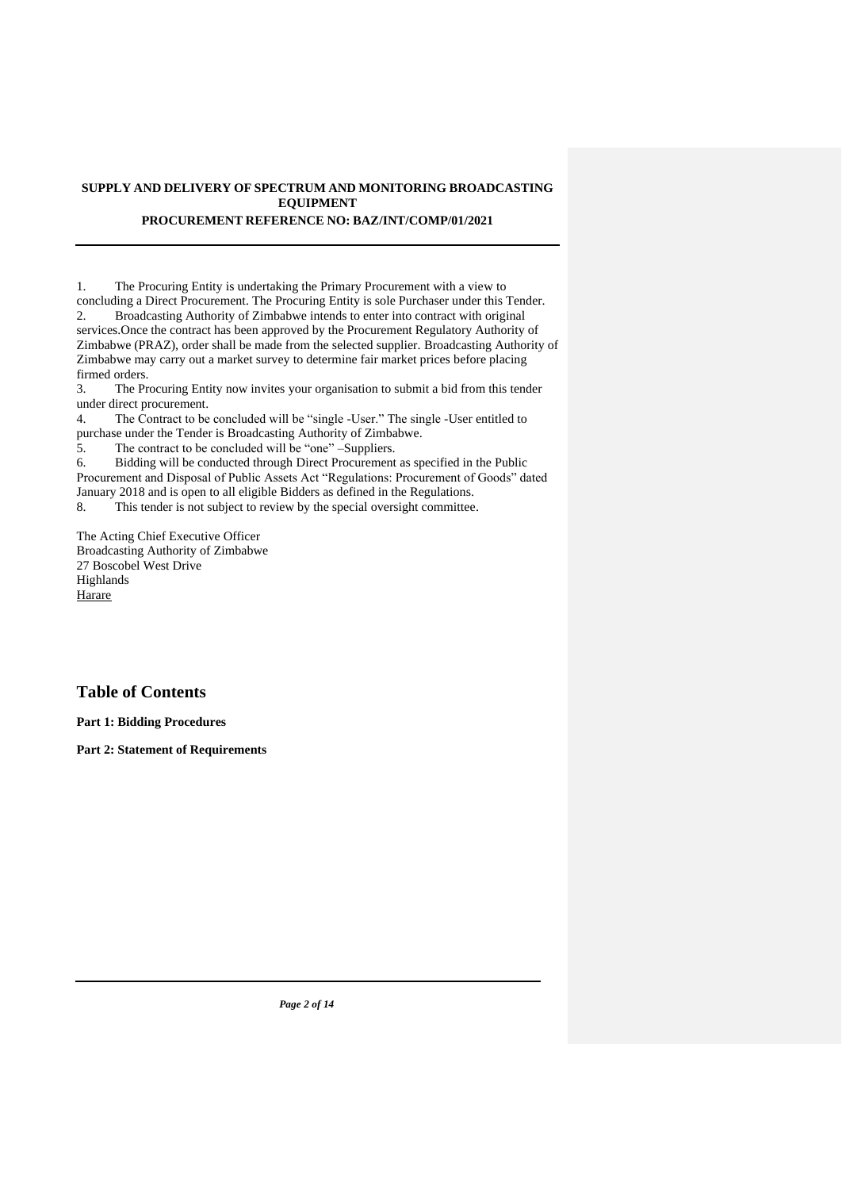## **SUPPLY AND DELIVERY OF SPECTRUM AND MONITORING BROADCASTING EQUIPMENT PROCUREMENT REFERENCE NO: BAZ/INT/COMP/01/2021**

1. The Procuring Entity is undertaking the Primary Procurement with a view to concluding a Direct Procurement. The Procuring Entity is sole Purchaser under this Tender. 2. Broadcasting Authority of Zimbabwe intends to enter into contract with original services.Once the contract has been approved by the Procurement Regulatory Authority of Zimbabwe (PRAZ), order shall be made from the selected supplier. Broadcasting Authority of Zimbabwe may carry out a market survey to determine fair market prices before placing firmed orders.

3. The Procuring Entity now invites your organisation to submit a bid from this tender under direct procurement.

4. The Contract to be concluded will be "single -User." The single -User entitled to purchase under the Tender is Broadcasting Authority of Zimbabwe.

5. The contract to be concluded will be "one" –Suppliers.

6. Bidding will be conducted through Direct Procurement as specified in the Public Procurement and Disposal of Public Assets Act "Regulations: Procurement of Goods" dated January 2018 and is open to all eligible Bidders as defined in the Regulations.

8. This tender is not subject to review by the special oversight committee.

The Acting Chief Executive Officer Broadcasting Authority of Zimbabwe 27 Boscobel West Drive Highlands **Harare** 

# **Table of Contents**

**Part 1: Bidding Procedures**

**Part 2: Statement of Requirements**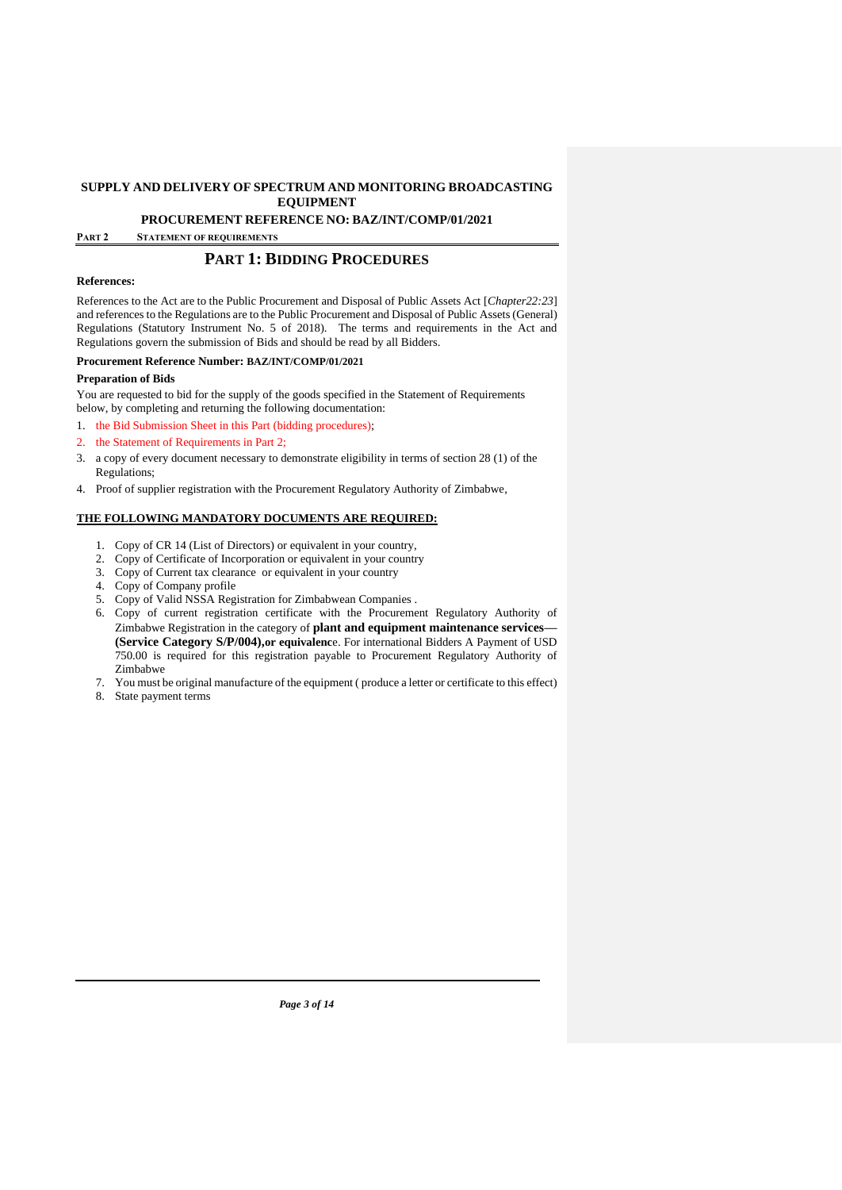**PROCUREMENT REFERENCE NO: BAZ/INT/COMP/01/2021**

**PART 2 STATEMENT OF REQUIREMENTS**

# **PART 1: BIDDING PROCEDURES**

#### **References:**

References to the Act are to the Public Procurement and Disposal of Public Assets Act [*Chapter22:23*] and references to the Regulations are to the Public Procurement and Disposal of Public Assets (General) Regulations (Statutory Instrument No. 5 of 2018). The terms and requirements in the Act and Regulations govern the submission of Bids and should be read by all Bidders.

#### **Procurement Reference Number: BAZ/INT/COMP/01/2021**

#### **Preparation of Bids**

You are requested to bid for the supply of the goods specified in the Statement of Requirements below, by completing and returning the following documentation:

- 1. the Bid Submission Sheet in this Part (bidding procedures);
- 2. the Statement of Requirements in Part 2;
- 3. a copy of every document necessary to demonstrate eligibility in terms of section 28 (1) of the Regulations;
- 4. Proof of supplier registration with the Procurement Regulatory Authority of Zimbabwe,

## **THE FOLLOWING MANDATORY DOCUMENTS ARE REQUIRED:**

- 1. Copy of CR 14 (List of Directors) or equivalent in your country,
- 2. Copy of Certificate of Incorporation or equivalent in your country
- 3. Copy of Current tax clearance or equivalent in your country
- 4. Copy of Company profile
- 5. Copy of Valid NSSA Registration for Zimbabwean Companies .
- 6. Copy of current registration certificate with the Procurement Regulatory Authority of Zimbabwe Registration in the category of **plant and equipment maintenance services— (Service Category S/P/004),or equivalenc**e. For international Bidders A Payment of USD 750.00 is required for this registration payable to Procurement Regulatory Authority of Zimbabwe
- 7. You must be original manufacture of the equipment ( produce a letter or certificate to this effect)
- 8. State payment terms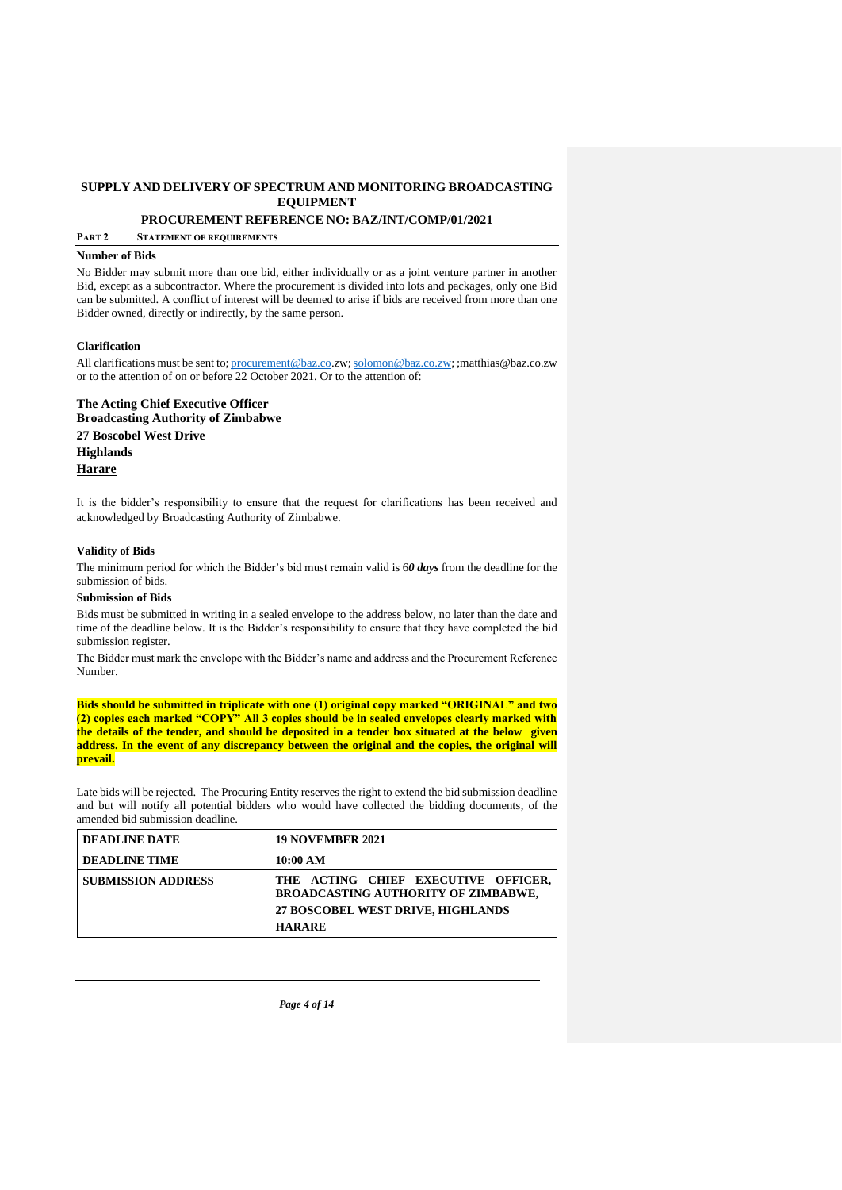**PROCUREMENT REFERENCE NO: BAZ/INT/COMP/01/2021**

**PART 2 STATEMENT OF REQUIREMENTS**

#### **Number of Bids**

No Bidder may submit more than one bid, either individually or as a joint venture partner in another Bid, except as a subcontractor. Where the procurement is divided into lots and packages, only one Bid can be submitted. A conflict of interest will be deemed to arise if bids are received from more than one Bidder owned, directly or indirectly, by the same person.

#### **Clarification**

All clarifications must be sent to; [procurement@baz.co.](mailto:procurement@baz.co)zw[; solomon@baz.co.zw;](mailto:solomon@baz.co.zw) ;matthias@baz.co.zw or to the attention of on or before 22 October 2021. Or to the attention of:

**The Acting Chief Executive Officer Broadcasting Authority of Zimbabwe 27 Boscobel West Drive Highlands Harare**

It is the bidder's responsibility to ensure that the request for clarifications has been received and acknowledged by Broadcasting Authority of Zimbabwe.

#### **Validity of Bids**

The minimum period for which the Bidder's bid must remain valid is 6*0 days* from the deadline for the submission of bids.

#### **Submission of Bids**

Bids must be submitted in writing in a sealed envelope to the address below, no later than the date and time of the deadline below. It is the Bidder's responsibility to ensure that they have completed the bid submission register.

The Bidder must mark the envelope with the Bidder's name and address and the Procurement Reference Number.

**Bids should be submitted in triplicate with one (1) original copy marked "ORIGINAL" and two (2) copies each marked "COPY" All 3 copies should be in sealed envelopes clearly marked with the details of the tender, and should be deposited in a tender box situated at the below given address. In the event of any discrepancy between the original and the copies, the original will prevail.**

Late bids will be rejected. The Procuring Entity reserves the right to extend the bid submission deadline and but will notify all potential bidders who would have collected the bidding documents, of the amended bid submission deadline.

| <b>DEADLINE DATE</b>      | <b>19 NOVEMBER 2021</b>                                                                                                                        |
|---------------------------|------------------------------------------------------------------------------------------------------------------------------------------------|
| <b>DEADLINE TIME</b>      | 10:00 AM                                                                                                                                       |
| <b>SUBMISSION ADDRESS</b> | THE ACTING CHIEF EXECUTIVE OFFICER,<br><b>BROADCASTING AUTHORITY OF ZIMBABWE,</b><br><b>27 BOSCOBEL WEST DRIVE, HIGHLANDS</b><br><b>HARARE</b> |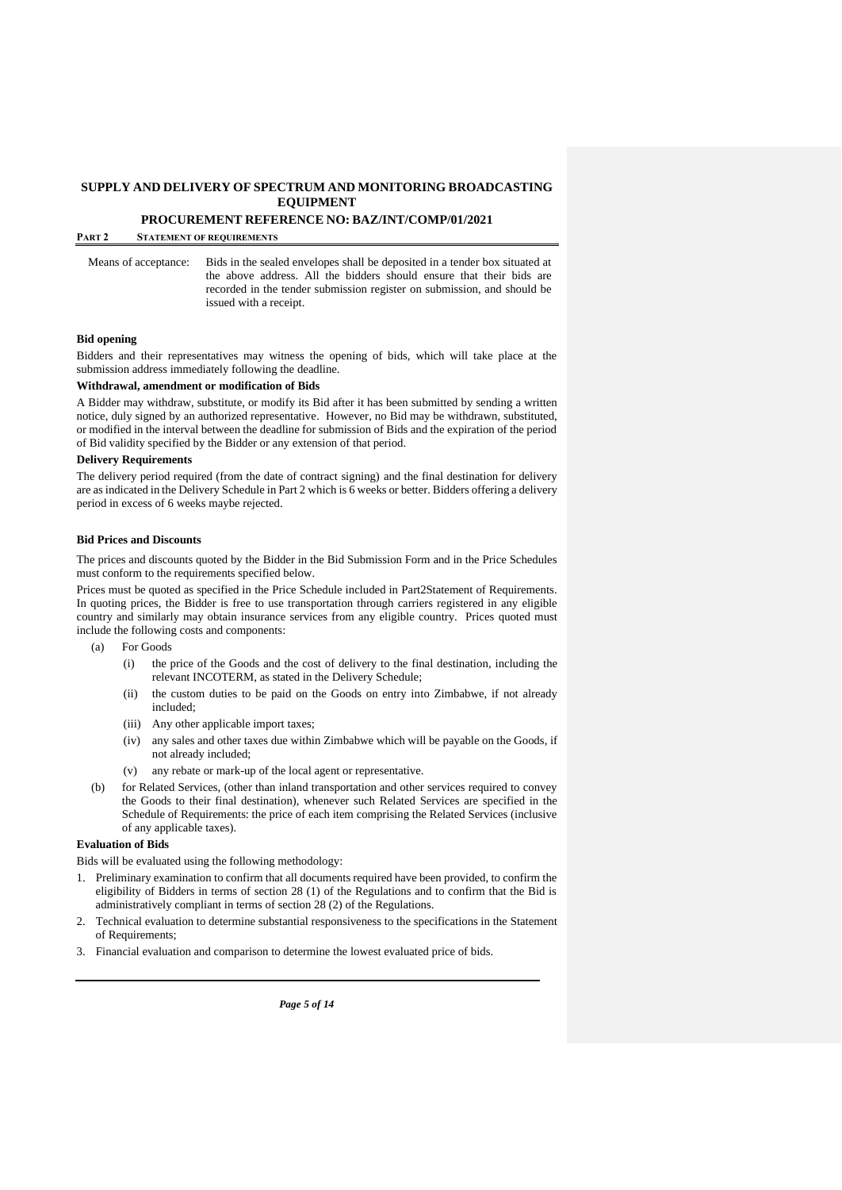**PROCUREMENT REFERENCE NO: BAZ/INT/COMP/01/2021**

**PART 2 STATEMENT OF REQUIREMENTS**

Means of acceptance: Bids in the sealed envelopes shall be deposited in a tender box situated at the above address. All the bidders should ensure that their bids are recorded in the tender submission register on submission, and should be issued with a receipt.

#### **Bid opening**

Bidders and their representatives may witness the opening of bids, which will take place at the submission address immediately following the deadline.

#### **Withdrawal, amendment or modification of Bids**

A Bidder may withdraw, substitute, or modify its Bid after it has been submitted by sending a written notice, duly signed by an authorized representative. However, no Bid may be withdrawn, substituted, or modified in the interval between the deadline for submission of Bids and the expiration of the period of Bid validity specified by the Bidder or any extension of that period.

#### **Delivery Requirements**

The delivery period required (from the date of contract signing) and the final destination for delivery are as indicated in the Delivery Schedule in Part 2 which is 6 weeks or better. Bidders offering a delivery period in excess of 6 weeks maybe rejected.

#### **Bid Prices and Discounts**

The prices and discounts quoted by the Bidder in the Bid Submission Form and in the Price Schedules must conform to the requirements specified below.

Prices must be quoted as specified in the Price Schedule included in Part2Statement of Requirements. In quoting prices, the Bidder is free to use transportation through carriers registered in any eligible country and similarly may obtain insurance services from any eligible country. Prices quoted must include the following costs and components:

- (a) For Goods
	- (i) the price of the Goods and the cost of delivery to the final destination, including the relevant INCOTERM, as stated in the Delivery Schedule;
	- (ii) the custom duties to be paid on the Goods on entry into Zimbabwe, if not already included;
	- (iii) Any other applicable import taxes;
	- (iv) any sales and other taxes due within Zimbabwe which will be payable on the Goods, if not already included;
	- (v) any rebate or mark-up of the local agent or representative.
- (b) for Related Services, (other than inland transportation and other services required to convey the Goods to their final destination), whenever such Related Services are specified in the Schedule of Requirements: the price of each item comprising the Related Services (inclusive of any applicable taxes).

## **Evaluation of Bids**

Bids will be evaluated using the following methodology:

- 1. Preliminary examination to confirm that all documents required have been provided, to confirm the eligibility of Bidders in terms of section 28 (1) of the Regulations and to confirm that the Bid is administratively compliant in terms of section 28 (2) of the Regulations.
- 2. Technical evaluation to determine substantial responsiveness to the specifications in the Statement of Requirements;
- 3. Financial evaluation and comparison to determine the lowest evaluated price of bids.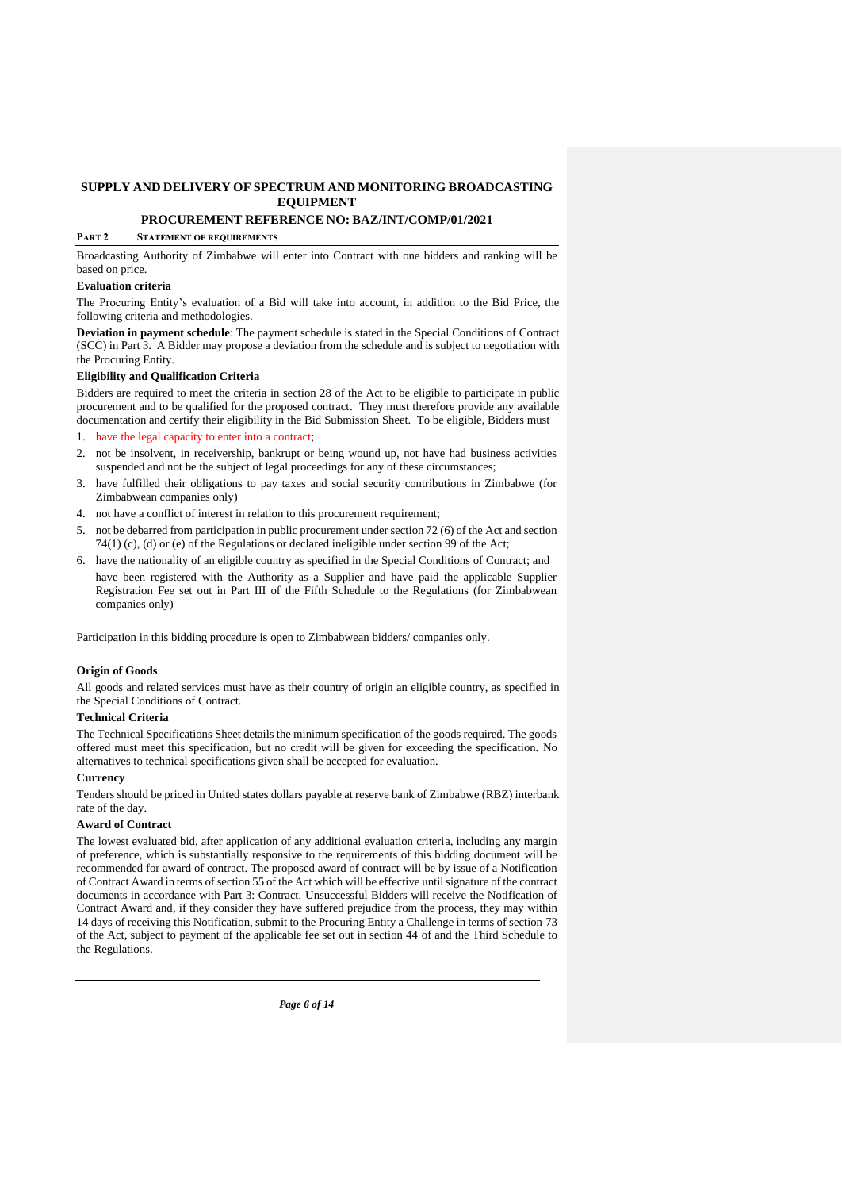# **PROCUREMENT REFERENCE NO: BAZ/INT/COMP/01/2021**

## **PART 2 STATEMENT OF REQUIREMENTS**

Broadcasting Authority of Zimbabwe will enter into Contract with one bidders and ranking will be based on price.

#### **Evaluation criteria**

The Procuring Entity's evaluation of a Bid will take into account, in addition to the Bid Price, the following criteria and methodologies.

**Deviation in payment schedule**: The payment schedule is stated in the Special Conditions of Contract (SCC) in Part 3. A Bidder may propose a deviation from the schedule and is subject to negotiation with the Procuring Entity.

#### **Eligibility and Qualification Criteria**

Bidders are required to meet the criteria in section 28 of the Act to be eligible to participate in public procurement and to be qualified for the proposed contract. They must therefore provide any available documentation and certify their eligibility in the Bid Submission Sheet. To be eligible, Bidders must

1. have the legal capacity to enter into a contract;

- 2. not be insolvent, in receivership, bankrupt or being wound up, not have had business activities suspended and not be the subject of legal proceedings for any of these circumstances;
- 3. have fulfilled their obligations to pay taxes and social security contributions in Zimbabwe (for Zimbabwean companies only)
- 4. not have a conflict of interest in relation to this procurement requirement;
- 5. not be debarred from participation in public procurement under section 72 (6) of the Act and section 74(1) (c), (d) or (e) of the Regulations or declared ineligible under section 99 of the Act;
- 6. have the nationality of an eligible country as specified in the Special Conditions of Contract; and have been registered with the Authority as a Supplier and have paid the applicable Supplier Registration Fee set out in Part III of the Fifth Schedule to the Regulations (for Zimbabwean companies only)

Participation in this bidding procedure is open to Zimbabwean bidders/ companies only.

#### **Origin of Goods**

All goods and related services must have as their country of origin an eligible country, as specified in the Special Conditions of Contract.

#### **Technical Criteria**

The Technical Specifications Sheet details the minimum specification of the goods required. The goods offered must meet this specification, but no credit will be given for exceeding the specification. No alternatives to technical specifications given shall be accepted for evaluation.

#### **Currency**

Tenders should be priced in United states dollars payable at reserve bank of Zimbabwe (RBZ) interbank rate of the day.

## **Award of Contract**

The lowest evaluated bid, after application of any additional evaluation criteria, including any margin of preference, which is substantially responsive to the requirements of this bidding document will be recommended for award of contract. The proposed award of contract will be by issue of a Notification of Contract Award in terms of section 55 of the Act which will be effective until signature of the contract documents in accordance with Part 3: Contract. Unsuccessful Bidders will receive the Notification of Contract Award and, if they consider they have suffered prejudice from the process, they may within 14 days of receiving this Notification, submit to the Procuring Entity a Challenge in terms of section 73 of the Act, subject to payment of the applicable fee set out in section 44 of and the Third Schedule to the Regulations.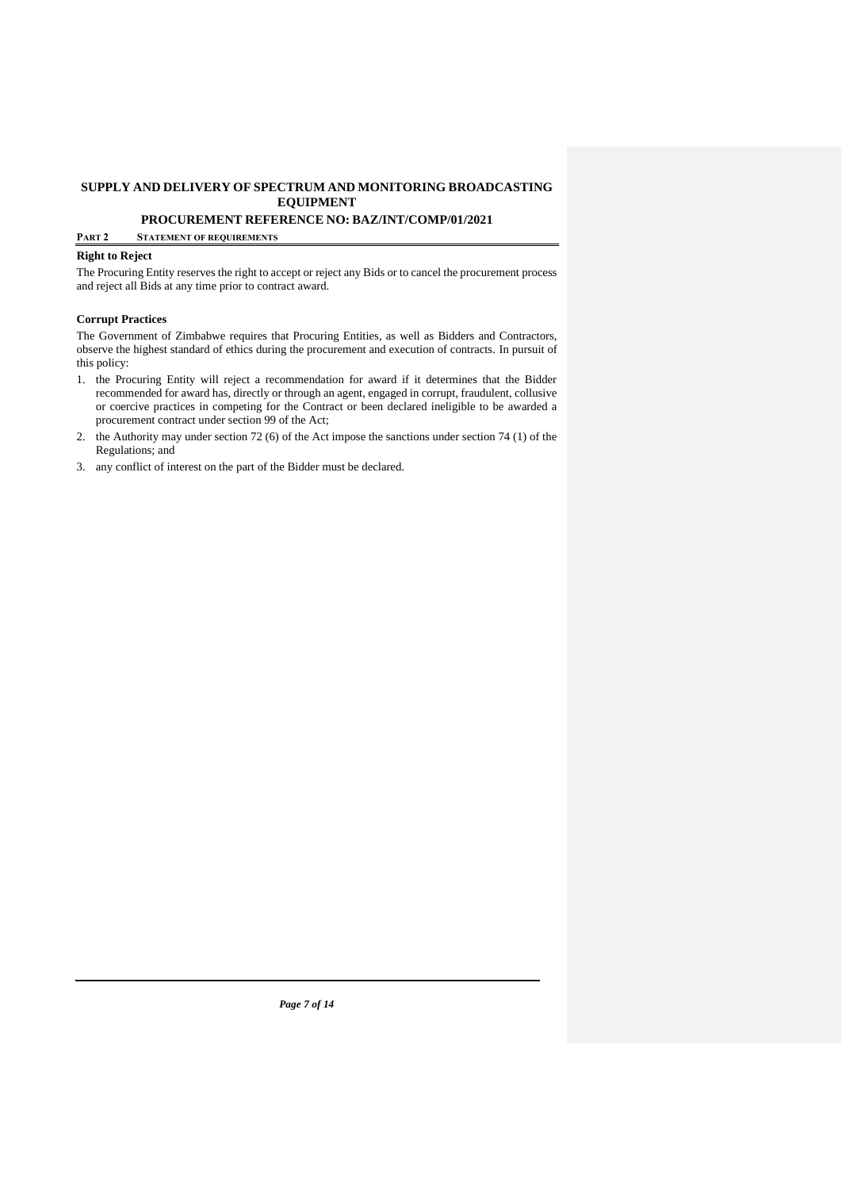## **PROCUREMENT REFERENCE NO: BAZ/INT/COMP/01/2021**

#### **PART 2 STATEMENT OF REQUIREMENTS**

## **Right to Reject**

The Procuring Entity reserves the right to accept or reject any Bids or to cancel the procurement process and reject all Bids at any time prior to contract award.

#### **Corrupt Practices**

The Government of Zimbabwe requires that Procuring Entities, as well as Bidders and Contractors, observe the highest standard of ethics during the procurement and execution of contracts. In pursuit of this policy:

- 1. the Procuring Entity will reject a recommendation for award if it determines that the Bidder recommended for award has, directly or through an agent, engaged in corrupt, fraudulent, collusive or coercive practices in competing for the Contract or been declared ineligible to be awarded a procurement contract under section 99 of the Act;
- 2. the Authority may under section 72 (6) of the Act impose the sanctions under section 74 (1) of the Regulations; and
- 3. any conflict of interest on the part of the Bidder must be declared.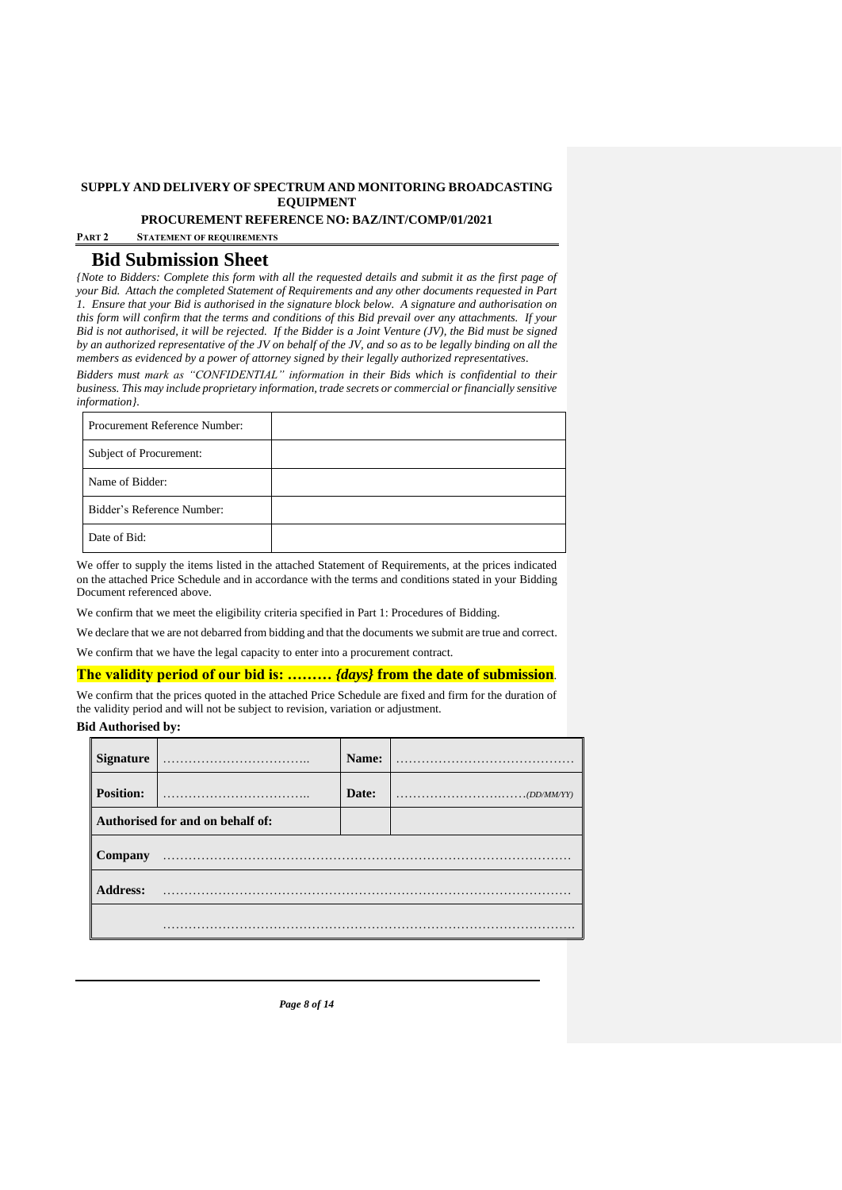**PROCUREMENT REFERENCE NO: BAZ/INT/COMP/01/2021**

**PART 2 STATEMENT OF REQUIREMENTS**

# **Bid Submission Sheet**

*{Note to Bidders: Complete this form with all the requested details and submit it as the first page of your Bid. Attach the completed Statement of Requirements and any other documents requested in Part 1. Ensure that your Bid is authorised in the signature block below. A signature and authorisation on this form will confirm that the terms and conditions of this Bid prevail over any attachments. If your Bid is not authorised, it will be rejected. If the Bidder is a Joint Venture (JV), the Bid must be signed by an authorized representative of the JV on behalf of the JV, and so as to be legally binding on all the members as evidenced by a power of attorney signed by their legally authorized representatives.* 

*Bidders must mark as "CONFIDENTIAL" information in their Bids which is confidential to their business. This may include proprietary information, trade secrets or commercial or financially sensitive information}.* 

| Procurement Reference Number: |  |
|-------------------------------|--|
| Subject of Procurement:       |  |
| Name of Bidder:               |  |
| Bidder's Reference Number:    |  |
| Date of Bid:                  |  |

We offer to supply the items listed in the attached Statement of Requirements, at the prices indicated on the attached Price Schedule and in accordance with the terms and conditions stated in your Bidding Document referenced above.

We confirm that we meet the eligibility criteria specified in Part 1: Procedures of Bidding.

We declare that we are not debarred from bidding and that the documents we submit are true and correct.

We confirm that we have the legal capacity to enter into a procurement contract.

#### **The validity period of our bid is: ………** *{days}* **from the date of submission**.

We confirm that the prices quoted in the attached Price Schedule are fixed and firm for the duration of the validity period and will not be subject to revision, variation or adjustment.

## **Bid Authorised by:**

| <b>Signature</b> |                                  | Name: |                                                                                    |
|------------------|----------------------------------|-------|------------------------------------------------------------------------------------|
| <b>Position:</b> |                                  | Date: | $\ldots \ldots \ldots \ldots \ldots \ldots \ldots \ldots \ldots \ldots (DD/MM/YY)$ |
|                  | Authorised for and on behalf of: |       |                                                                                    |
| Company          |                                  |       |                                                                                    |
| <b>Address:</b>  |                                  |       |                                                                                    |
|                  |                                  |       |                                                                                    |

*Page 8 of 14*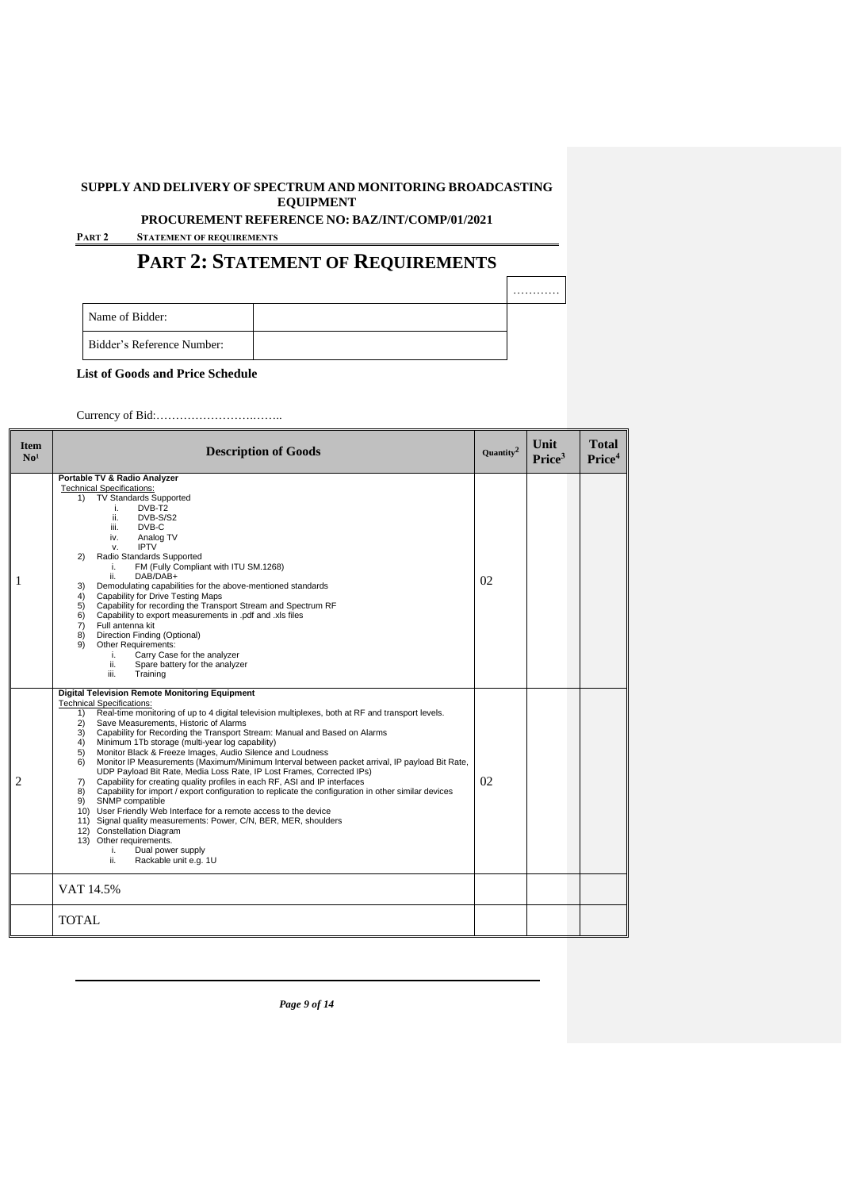**PROCUREMENT REFERENCE NO: BAZ/INT/COMP/01/2021**

**PART 2 STATEMENT OF REQUIREMENTS**

# **PART 2: STATEMENT OF REQUIREMENTS**

|                                   | . |
|-----------------------------------|---|
| Name of Bidder:                   |   |
| <b>Bidder's Reference Number:</b> |   |

**List of Goods and Price Schedule**

Currency of Bid:…………………….……..

| <b>Item</b><br>No <sup>1</sup> | <b>Description of Goods</b>                                                                                                                                                                                                                                                                                                                                                                                                                                                                                                                                                                                                                                                                                                                                                                                                                                                                                                                                                                                                                                                                                                                            | Quantity <sup>2</sup> | Unit<br>Price <sup>3</sup> | <b>Total</b><br>Price <sup>4</sup> |
|--------------------------------|--------------------------------------------------------------------------------------------------------------------------------------------------------------------------------------------------------------------------------------------------------------------------------------------------------------------------------------------------------------------------------------------------------------------------------------------------------------------------------------------------------------------------------------------------------------------------------------------------------------------------------------------------------------------------------------------------------------------------------------------------------------------------------------------------------------------------------------------------------------------------------------------------------------------------------------------------------------------------------------------------------------------------------------------------------------------------------------------------------------------------------------------------------|-----------------------|----------------------------|------------------------------------|
| 1                              | Portable TV & Radio Analyzer<br><b>Technical Specifications:</b><br><b>TV Standards Supported</b><br>1)<br>DVB-T <sub>2</sub><br>j.<br>DVB-S/S2<br>ii.<br>DVB-C<br>iii.<br>Analog TV<br>iv.<br><b>IPTV</b><br>v.<br>Radio Standards Supported<br>(2)<br>FM (Fully Compliant with ITU SM.1268)<br>i.<br>ii.<br>DAB/DAB+<br>Demodulating capabilities for the above-mentioned standards<br>3)<br>Capability for Drive Testing Maps<br>4)<br>Capability for recording the Transport Stream and Spectrum RF<br>5)<br>Capability to export measurements in .pdf and .xls files<br>6)<br>Full antenna kit<br>7)<br>Direction Finding (Optional)<br>8)<br>Other Requirements:<br>9)<br>Carry Case for the analyzer<br>i.<br>ii.<br>Spare battery for the analyzer<br>iii.<br>Training                                                                                                                                                                                                                                                                                                                                                                         | 02                    |                            |                                    |
| $\overline{2}$                 | <b>Digital Television Remote Monitoring Equipment</b><br><b>Technical Specifications:</b><br>Real-time monitoring of up to 4 digital television multiplexes, both at RF and transport levels.<br>1)<br>2)<br>Save Measurements. Historic of Alarms<br>Capability for Recording the Transport Stream: Manual and Based on Alarms<br>3)<br>Minimum 1Tb storage (multi-year log capability)<br>4)<br>Monitor Black & Freeze Images, Audio Silence and Loudness<br>5)<br>Monitor IP Measurements (Maximum/Minimum Interval between packet arrival, IP payload Bit Rate,<br>6)<br>UDP Payload Bit Rate, Media Loss Rate, IP Lost Frames, Corrected IPs)<br>Capability for creating quality profiles in each RF, ASI and IP interfaces<br>7)<br>Capability for import / export configuration to replicate the configuration in other similar devices<br>8)<br>SNMP compatible<br>9)<br>10) User Friendly Web Interface for a remote access to the device<br>11) Signal quality measurements: Power, C/N, BER, MER, shoulders<br>12) Constellation Diagram<br>13) Other requirements.<br>i.<br>Dual power supply<br>ii.<br>Rackable unit e.g. 1U<br>VAT 14.5% | 02                    |                            |                                    |
|                                | <b>TOTAL</b>                                                                                                                                                                                                                                                                                                                                                                                                                                                                                                                                                                                                                                                                                                                                                                                                                                                                                                                                                                                                                                                                                                                                           |                       |                            |                                    |

*Page 9 of 14*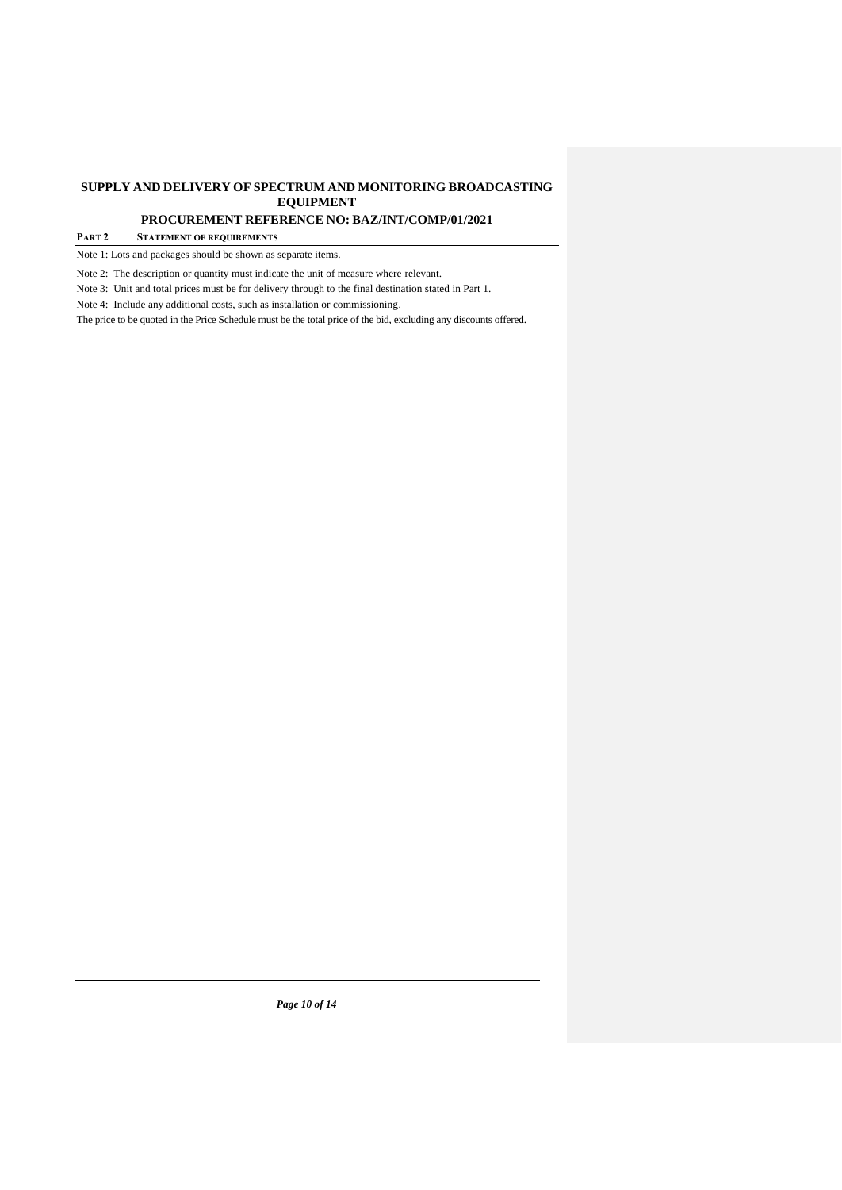**PROCUREMENT REFERENCE NO: BAZ/INT/COMP/01/2021**

#### **PART 2 STATEMENT OF REQUIREMENTS**

Note 1: Lots and packages should be shown as separate items.

Note 2: The description or quantity must indicate the unit of measure where relevant.

Note 3: Unit and total prices must be for delivery through to the final destination stated in Part 1.

Note 4: Include any additional costs, such as installation or commissioning.

The price to be quoted in the Price Schedule must be the total price of the bid, excluding any discounts offered.

*Page 10 of 14*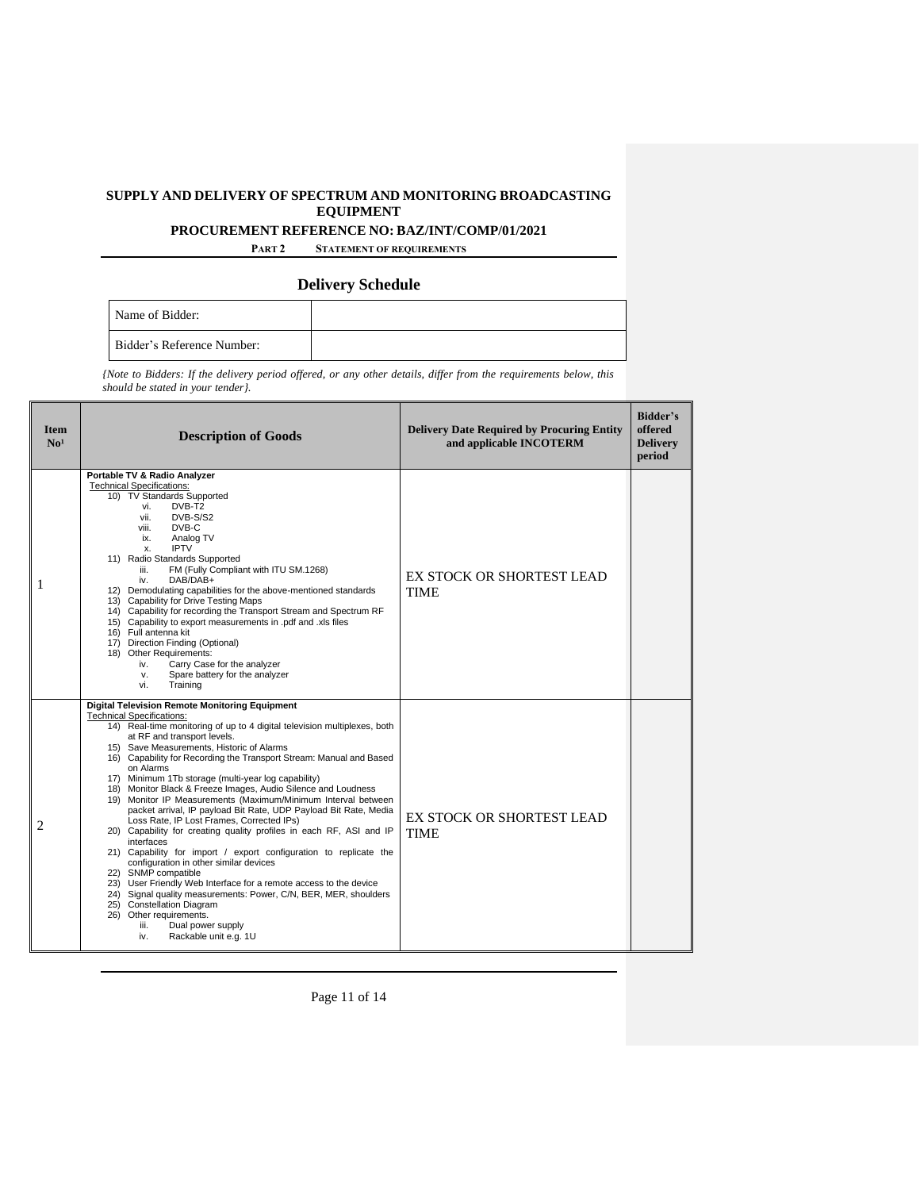**PROCUREMENT REFERENCE NO: BAZ/INT/COMP/01/2021**

**PART 2 STATEMENT OF REQUIREMENTS**

## **Delivery Schedule**

| Name of Bidder:            |  |
|----------------------------|--|
| Bidder's Reference Number: |  |

*{Note to Bidders: If the delivery period offered, or any other details, differ from the requirements below, this should be stated in your tender}.* 

| <b>Item</b><br>No <sup>1</sup> | <b>Description of Goods</b>                                                                                                                                                                                                                                                                                                                                                                                                                                                                                                                                                                                                                                                                                                                                                                                                                                                                                                                                                                                                                                                                                                              | <b>Delivery Date Required by Procuring Entity</b><br>and applicable INCOTERM | Bidder's<br>offered<br><b>Delivery</b><br>period |
|--------------------------------|------------------------------------------------------------------------------------------------------------------------------------------------------------------------------------------------------------------------------------------------------------------------------------------------------------------------------------------------------------------------------------------------------------------------------------------------------------------------------------------------------------------------------------------------------------------------------------------------------------------------------------------------------------------------------------------------------------------------------------------------------------------------------------------------------------------------------------------------------------------------------------------------------------------------------------------------------------------------------------------------------------------------------------------------------------------------------------------------------------------------------------------|------------------------------------------------------------------------------|--------------------------------------------------|
| 1                              | Portable TV & Radio Analyzer<br><b>Technical Specifications:</b><br>10) TV Standards Supported<br>DVB-T <sub>2</sub><br>vi.<br>vii.<br>DVB-S/S2<br>viii.<br>DVB-C<br>Analog TV<br>ix.<br><b>IPTV</b><br>X.<br>11) Radio Standards Supported<br>FM (Fully Compliant with ITU SM.1268)<br>iii.<br>DAB/DAB+<br>iv.<br>12) Demodulating capabilities for the above-mentioned standards<br>13) Capability for Drive Testing Maps<br>14) Capability for recording the Transport Stream and Spectrum RF<br>15) Capability to export measurements in .pdf and .xls files<br>16) Full antenna kit<br>17) Direction Finding (Optional)<br>18) Other Requirements:<br>Carry Case for the analyzer<br>iv.<br>Spare battery for the analyzer<br>v.<br>vi.<br>Training                                                                                                                                                                                                                                                                                                                                                                                 | EX STOCK OR SHORTEST LEAD<br><b>TIME</b>                                     |                                                  |
| $\overline{c}$                 | <b>Digital Television Remote Monitoring Equipment</b><br><b>Technical Specifications:</b><br>14) Real-time monitoring of up to 4 digital television multiplexes, both<br>at RF and transport levels.<br>15) Save Measurements, Historic of Alarms<br>16) Capability for Recording the Transport Stream: Manual and Based<br>on Alarms<br>17) Minimum 1Tb storage (multi-year log capability)<br>18) Monitor Black & Freeze Images, Audio Silence and Loudness<br>19) Monitor IP Measurements (Maximum/Minimum Interval between<br>packet arrival, IP payload Bit Rate, UDP Payload Bit Rate, Media<br>Loss Rate, IP Lost Frames, Corrected IPs)<br>20) Capability for creating quality profiles in each RF, ASI and IP<br>interfaces<br>21) Capability for import / export configuration to replicate the<br>configuration in other similar devices<br>22) SNMP compatible<br>23) User Friendly Web Interface for a remote access to the device<br>24) Signal quality measurements: Power, C/N, BER, MER, shoulders<br>25) Constellation Diagram<br>26) Other requirements.<br>iii.<br>Dual power supply<br>Rackable unit e.g. 1U<br>iv. | EX STOCK OR SHORTEST LEAD<br><b>TIME</b>                                     |                                                  |

Page 11 of 14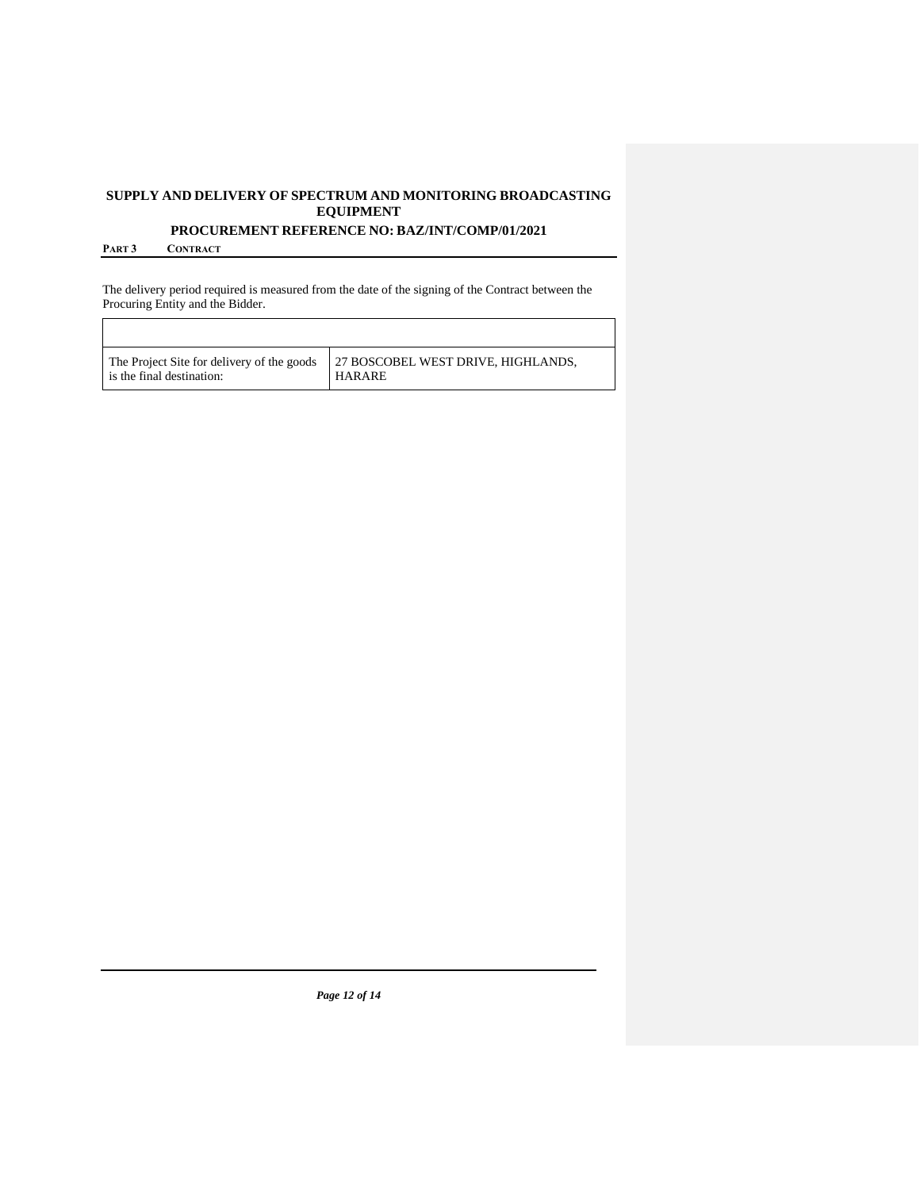**PROCUREMENT REFERENCE NO: BAZ/INT/COMP/01/2021**

**PART 3 CONTRACT**

The delivery period required is measured from the date of the signing of the Contract between the Procuring Entity and the Bidder.

| The Project Site for delivery of the goods | 27 BOSCOBEL WEST DRIVE. HIGHLANDS. |
|--------------------------------------------|------------------------------------|
| is the final destination:                  | <b>HARARE</b>                      |

*Page 12 of 14*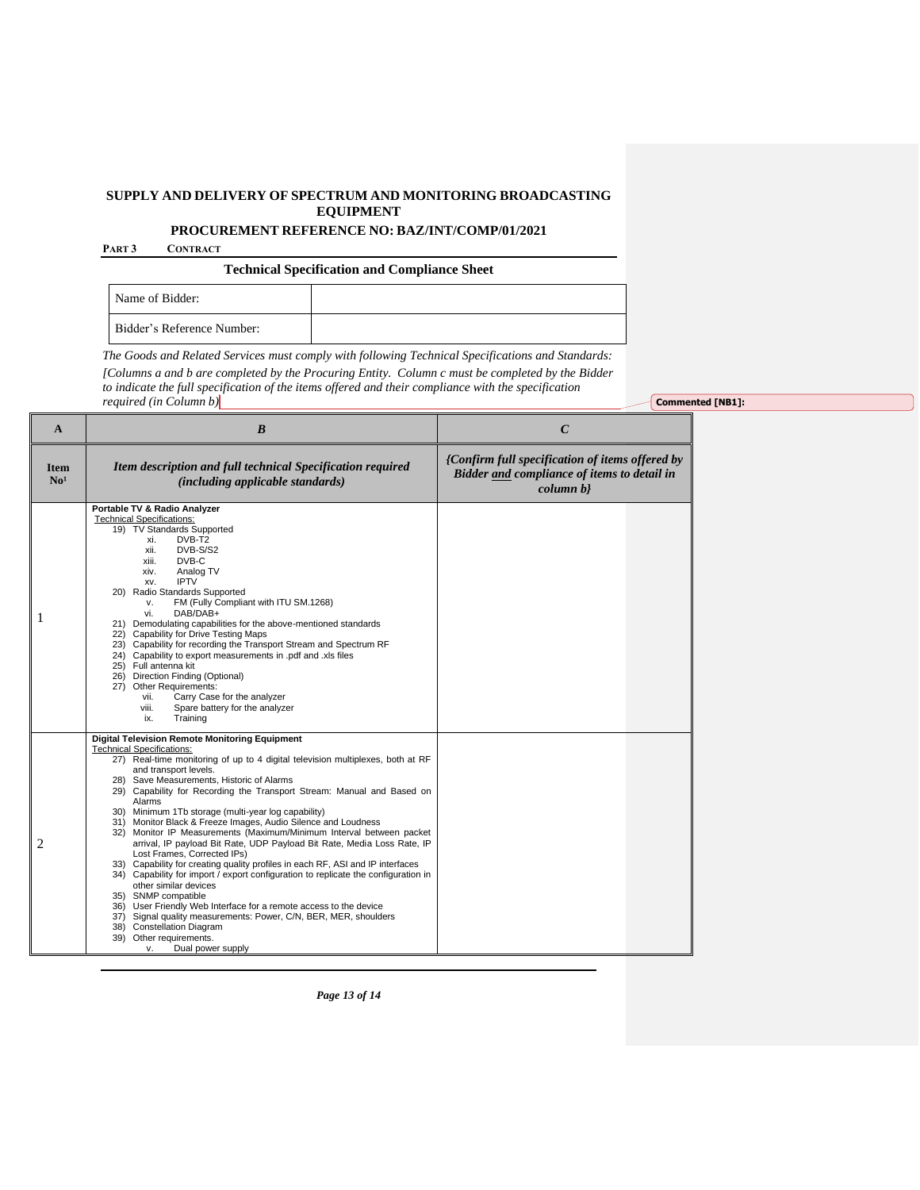**PROCUREMENT REFERENCE NO: BAZ/INT/COMP/01/2021**

**PART 3 CONTRACT**

**Technical Specification and Compliance Sheet**

| Name of Bidder:            |  |
|----------------------------|--|
| Bidder's Reference Number: |  |

*The Goods and Related Services must comply with following Technical Specifications and Standards: [Columns a and b are completed by the Procuring Entity. Column c must be completed by the Bidder*

*to indicate the full specification of the items offered and their compliance with the specification* 

**Commented [NB1]:** 

|--|

| A                              | $\boldsymbol{B}$                                                                                                                                                                                                                                                                                                                                                                                                                                                                                                                                                                                                                                                                                                                                                                                                                                                                                                                                                                                                                                                                                              | $\mathcal{C}$                                                                                              |
|--------------------------------|---------------------------------------------------------------------------------------------------------------------------------------------------------------------------------------------------------------------------------------------------------------------------------------------------------------------------------------------------------------------------------------------------------------------------------------------------------------------------------------------------------------------------------------------------------------------------------------------------------------------------------------------------------------------------------------------------------------------------------------------------------------------------------------------------------------------------------------------------------------------------------------------------------------------------------------------------------------------------------------------------------------------------------------------------------------------------------------------------------------|------------------------------------------------------------------------------------------------------------|
| <b>Item</b><br>No <sup>1</sup> | Item description and full technical Specification required<br><i>(including applicable standards)</i>                                                                                                                                                                                                                                                                                                                                                                                                                                                                                                                                                                                                                                                                                                                                                                                                                                                                                                                                                                                                         | {Confirm full specification of items offered by<br>Bidder and compliance of items to detail in<br>column b |
|                                | Portable TV & Radio Analyzer<br><b>Technical Specifications:</b><br>19) TV Standards Supported<br>DVB-T2<br>xi.<br>xii.<br>DVB-S/S2<br>DVB-C<br>xiii.<br>xiv.<br>Analog TV<br><b>IPTV</b><br>XV.<br>20) Radio Standards Supported<br>FM (Fully Compliant with ITU SM.1268)<br>v.<br>vi.<br>DAB/DAB+<br>21) Demodulating capabilities for the above-mentioned standards<br>22) Capability for Drive Testing Maps<br>23) Capability for recording the Transport Stream and Spectrum RF<br>24) Capability to export measurements in .pdf and .xls files<br>25) Full antenna kit<br>26) Direction Finding (Optional)<br>27) Other Requirements:<br>Carry Case for the analyzer<br>vii.<br>viii.<br>Spare battery for the analyzer<br>Training<br>ix.                                                                                                                                                                                                                                                                                                                                                              |                                                                                                            |
| 2                              | <b>Digital Television Remote Monitoring Equipment</b><br><b>Technical Specifications:</b><br>27) Real-time monitoring of up to 4 digital television multiplexes, both at RF<br>and transport levels.<br>28) Save Measurements, Historic of Alarms<br>29) Capability for Recording the Transport Stream: Manual and Based on<br>Alarms<br>30) Minimum 1Tb storage (multi-year log capability)<br>31) Monitor Black & Freeze Images, Audio Silence and Loudness<br>32) Monitor IP Measurements (Maximum/Minimum Interval between packet<br>arrival, IP payload Bit Rate, UDP Payload Bit Rate, Media Loss Rate, IP<br>Lost Frames, Corrected IPs)<br>33) Capability for creating quality profiles in each RF, ASI and IP interfaces<br>34) Capability for import / export configuration to replicate the configuration in<br>other similar devices<br>35) SNMP compatible<br>36) User Friendly Web Interface for a remote access to the device<br>37) Signal quality measurements: Power, C/N, BER, MER, shoulders<br><b>Constellation Diagram</b><br>38)<br>39) Other requirements.<br>Dual power supply<br>v. |                                                                                                            |

*Page 13 of 14*